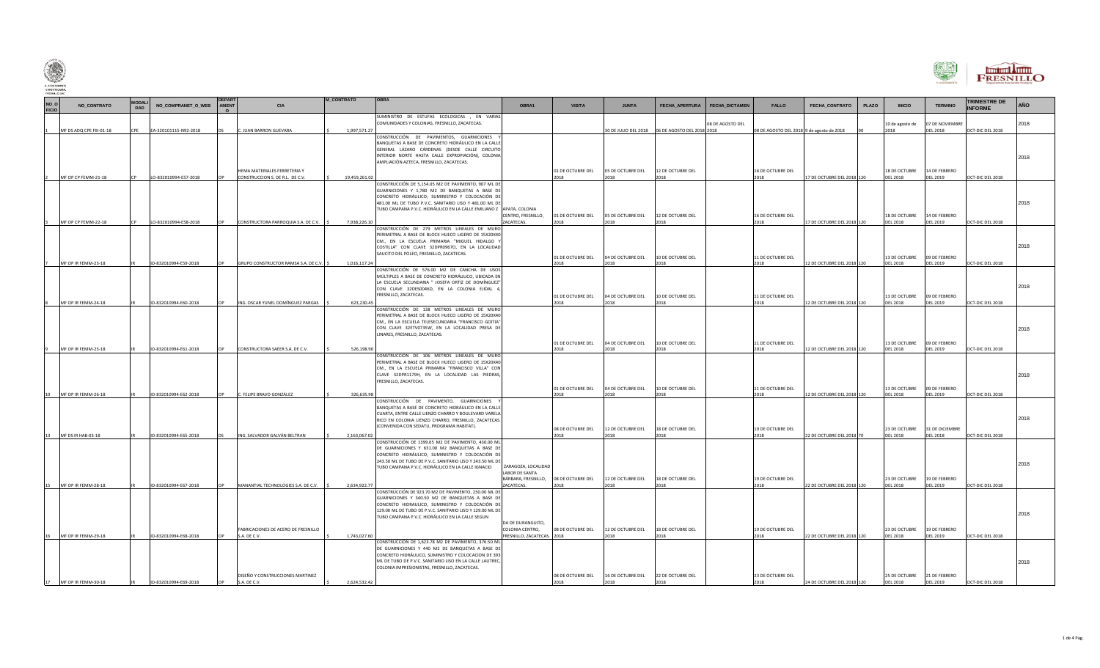

|                      |                          |                      |                       |           |                                                                 |                   |                                                                                                                                                                                                                                                                             |                                                              |                           |                           |                                         |                                           |                            |              |                                                |                                    |                                       | FRESNILLO  |
|----------------------|--------------------------|----------------------|-----------------------|-----------|-----------------------------------------------------------------|-------------------|-----------------------------------------------------------------------------------------------------------------------------------------------------------------------------------------------------------------------------------------------------------------------------|--------------------------------------------------------------|---------------------------|---------------------------|-----------------------------------------|-------------------------------------------|----------------------------|--------------|------------------------------------------------|------------------------------------|---------------------------------------|------------|
| NO_O<br><b>FICIO</b> | NO_CONTRATO              | <b>MODALI</b><br>DAD | NO_COMPRANET_O_WEB    | AMENT     | <b>CIA</b>                                                      | <b>M_CONTRATO</b> | <b>OBRA</b>                                                                                                                                                                                                                                                                 | OBRA1                                                        | <b>VISITA</b>             | <b>JUNTA</b>              | FECHA_APERTURA<br><b>FECHA_DICTAMEN</b> | <b>FALLO</b>                              | FECHA_CONTRATO             | <b>PLAZO</b> | <b>INICIO</b>                                  | <b>TERMINO</b>                     | <b>TRIMESTRE DE</b><br><b>INFORME</b> | <b>AÑO</b> |
|                      | MF DS ADQ CPE FIII-01-18 |                      | EA-320101115-N92-2018 |           | . JUAN BARRON GUEVARA                                           | 1,997,571.27      | SUMINISTRO DE ESTUFAS ECOLOGICAS , EN VARIAS<br>COMUNIDADES Y COLONIAS, FRESNILLO, ZACATECAS.                                                                                                                                                                               |                                                              |                           |                           | 08 DE AGOSTO DEL                        | 08 DE AGOSTO DEL 2018 9 de agosto de 2018 |                            |              | 10 de agosto de<br>2018                        | 07 DE NOVIEMBRE<br><b>DEL 2018</b> | OCT-DIC DEL 2018                      | 2018       |
|                      |                          |                      |                       |           |                                                                 |                   | CONSTRUCCIÓN DE PAVIMENTOS. GUARNICIONES<br>BANQUETAS A BASE DE CONCRETO HIDRÁULICO EN LA CALLE<br>GENERAL LÁZARO CÁRDENAS (DESDE CALLE CIRCUITO<br>INTERIOR NORTE HASTA CALLE EXPROPIACIÓN), COLONIA<br>AMPLIACIÓN AZTECA, FRESNILLO, ZACATECAS.                           |                                                              |                           |                           |                                         |                                           |                            |              |                                                |                                    |                                       | 2018       |
|                      | MF OP CP FEMM-21-18      |                      | LO-832010994-E57-2018 |           | HEMA MATERIALES FERRETERIA Y<br>CONSTRUCCION S. DE R.L. DE C.V. | 19.459.261.02     | CONSTRUCCIÓN DE 5,154.05 M2 DE PAVIMENTO, 907 ML DE                                                                                                                                                                                                                         |                                                              | 01 DE OCTUBRE DEL<br>2018 | 05 DE OCTUBRE DEL<br>2018 | 12 DE OCTUBRE DEI<br>2018               | 16 DE OCTUBRE DEL<br>2018                 | 17 DE OCTUBRE DEL 2018 120 |              | 18 DE OCTUBRE<br><b>DEL 2018</b>               | 14 DE FEBRERO<br>DEL 2019          | OCT-DIC DEL 2018                      |            |
|                      | MF OP CP FEMM-22-18      |                      | LO-832010994-E58-2018 |           | CONSTRUCTORA PARROQUIA S.A. DE C.V.                             | 7,938,226.10      | GUARNICIONES Y 1,780 M2 DE BANQUETAS A BASE DE<br>CONCRETO HIDRÁULICO; SUMINISTRO Y COLOCACIÓN DE<br>481.00 ML DE TUBO P.V.C. SANITARIO LISO Y 481.00 ML DE<br>TUBO CAMPANA P.V.C. HIDRÁULICO EN LA CALLE EMILIANO Z APATA, COLONIA                                         | CENTRO, FRESNILLO,<br>ZACATECAS.                             | 01 DE OCTUBRE DEL<br>2018 | 05 DE OCTUBRE DEL<br>2018 | 12 DE OCTUBRE DEL<br>2018               | 16 DE OCTUBRE DEL<br>2018                 | 17 DE OCTUBRE DEL 2018 120 |              | 18 DE OCTUBRE<br><b>DEL 2018</b>               | 14 DE FEBRERO<br><b>DEL 2019</b>   | OCT-DIC DEL 2018                      | 2018       |
|                      |                          |                      |                       |           |                                                                 |                   | CONSTRUCCIÓN DE 279 METROS LINEALES DE MURO<br>PERIMETRAL A BASE DE BLOCK HUECO LIGERO DE 15X20X40<br>CM., EN LA ESCUELA PRIMARIA "MIGUEL HIDALGO                                                                                                                           |                                                              |                           |                           |                                         |                                           |                            |              |                                                |                                    |                                       |            |
|                      |                          |                      |                       |           |                                                                 |                   | COSTILLA" CON CLAVE 32DPR0967O, EN LA LOCALIDAD<br>SAUCITO DEL POLEO, FRESNILLO, ZACATECAS.                                                                                                                                                                                 |                                                              | 01 DE OCTUBRE DEL         | 04 DE OCTUBRE DEL         | 10 DE OCTUBRE DEL                       | 11 DE OCTUBRE DEL                         |                            |              | 13 DE OCTUBRE                                  | 09 DE FEBRERO                      |                                       | 2018       |
|                      | MF OP IR FEMM-23-18      |                      | IO-832010994-E59-2018 |           | GRUPO CONSTRUCTOR RAMSA S.A. DE C.V. S                          | 1,016,117.24      | CONSTRUCCIÓN DE 576.00 M2 DE CANCHA DE USOS<br>MÚLTIPLES A BASE DE CONCRETO HIDRÁULICO, UBICADA EN<br>LA ESCUELA SECUNDARIA " IOSEEA ORTIZ DE DOMÍNGUEZ'<br>CON CLAVE 32DES0046D, EN LA COLONIA EJIDAL 4,<br>FRESNILLO, ZACATECAS.                                          |                                                              | 2018<br>01 DE OCTUBRE DEL | 2018<br>04 DE OCTUBRE DEL | 2018<br>10 DE OCTUBRE DEL               | 2018<br>11 DE OCTUBRE DEL                 | 12 DE OCTUBRE DEL 2018 120 |              | <b>DEL 2018</b><br>13 DE OCTUBRE               | <b>DEL 2019</b><br>09 DE FEBRERO   | OCT-DIC DEL 2018                      | 2018       |
|                      | MF OP IR FFMM-24-18      |                      | IO-832010994-E60-2018 |           | ING. OSCAR YUNEL DOMÍNGUEZ PARGAS                               | 623,230.45        | CONSTRUCCIÓN DE 138 METROS LINEALES DE MURO                                                                                                                                                                                                                                 |                                                              | 2018                      | 2018                      | 2018                                    | 2018                                      | 12 DE OCTUBRE DEL 2018 120 |              | <b>DEL 2018</b>                                | <b>DEL 2019</b>                    | OCT-DIC DEL 2018                      |            |
|                      |                          |                      |                       |           |                                                                 |                   | PERIMETRAL A BASE DE BLOCK HUECO LIGERO DE 15X20X40<br>CM., EN LA ESCUELA TELESECUNDARIA "FRANCISCO GOITIA"<br>CON CLAVE 32ETV0735W, EN LA LOCALIDAD PRESA DE<br>LINARES, FRESNILLO, ZACATECAS.                                                                             |                                                              | 01 DE OCTUBRE DEL         | 04 DE OCTUBRE DEL         | 10 DE OCTUBRE DEL                       | 11 DE OCTUBRE DEL                         |                            |              | 13 DE OCTUBRE                                  | 09 DE FEBRERO                      |                                       | 2018       |
|                      | MF OP IR FEMM-25-18      |                      | IO-832010994-E61-2018 |           | CONSTRUCTORA SAEER S.A. DE C.V.                                 | 526,198.90        | CONSTRUCCIÓN DE 106 METROS LINEALES DE MURO<br>PERIMETRAL A BASE DE BLOCK HUECO LIGERO DE 15X20X40<br>CM., EN LA ESCUELA PRIMARIA "FRANCISCO VILLA" CON<br>CLAVE 32DPR1179H, EN LA LOCALIDAD LAS PIEDRAS,<br>FRESNILLO, ZACATECAS.                                          |                                                              | 2018<br>01 DE OCTUBRE DEL | 2018<br>04 DE OCTUBRE DEL | 2018<br>10 DE OCTUBRE DEL               | 2018<br>11 DE OCTUBRE DEL                 | 12 DE OCTUBRE DEL 2018 120 |              | <b>DEL 2018</b><br>13 DE OCTUBRE               | <b>DEL 2019</b><br>09 DE FEBRERO   | OCT-DIC DEL 2018                      | 2018       |
|                      | MF OP IR FEMM-26-18      |                      | IO-832010994-E62-2018 |           | C. FELIPE BRAVO GONZÁLEZ                                        | 326,635.98        | CONSTRUCCIÓN DE PAVIMENTO. GUARNICIONES                                                                                                                                                                                                                                     |                                                              | 2018                      | 2018                      | 2018                                    | 2018                                      | 12 DE OCTUBRE DEL 2018 120 |              | <b>DEL 2018</b>                                | <b>DEL 2019</b>                    | OCT-DIC DEL 2018                      |            |
|                      |                          |                      |                       |           |                                                                 |                   | BANQUETAS A BASE DE CONCRETO HIDRÁULICO EN LA CALLE<br>CUARTA, ENTRE CALLE LIENZO CHARRO Y BOULEVARD VARELA<br>RICO EN COLONIA LIENZO CHARRO, FRESNILLO, ZACATECAS.<br>(CONVENIDA CON SEDATU, PROGRAMA HABITAT).                                                            |                                                              | 08 DE OCTUBRE DEL         | 12 DE OCTUBRE DEL         | 18 DE OCTUBRE DEL                       | 19 DE OCTUBRE DEL                         |                            |              | 23 DE OCTUBRE                                  | 31 DE DICIEMBRE                    |                                       | 2018       |
|                      | MF DS IR HAB-03-18       |                      | IO-832010994-E65-2018 |           | ING. SALVADOR GALVÁN BELTRAN                                    | 2,163,067.02      | CONSTRUCCIÓN DE 1399.05 M2 DE PAVIMENTO, 430.00 ML<br>DE GUARNICIONES Y 631.00 M2 BANQUETAS A BASE DE<br>CONCRETO HIDRÁULICO, SUMINISTRO Y COLOCACIÓN DE<br>243.50 ML DE TUBO DE P.V.C. SANITARIO LISO Y 243.50 ML DE<br>TUBO CAMPANA P.V.C. HIDRÁULICO EN LA CALLE IGNACIO | ZARAGOZA, LOCALIDAD<br>LABOR DE SANTA<br>BÁRBARA, FRESNILLO, | 2018<br>08 DE OCTUBRE DEL | 2018<br>12 DE OCTUBRE DEL | 2018<br>18 DE OCTUBRE DEL               | 2018<br>19 DE OCTUBRE DEL                 | 22 DE OCTUBRE DEL 2018 70  |              | <b>DEL 2018</b><br>23 DE OCTUBRE               | <b>DEL 2018</b><br>19 DE FEBRERO   | OCT-DIC DEL 2018                      | 2018       |
|                      | MF OP IR FEMM-28-18      |                      | IO-832010994-E67-2018 |           | MANANTIAL TECHNOLOGIES S.A. DE C.V.                             | 2,634,922.77      | CONSTRUCCIÓN DE 923.70 M2 DE PAVIMENTO, 250.00 ML DE                                                                                                                                                                                                                        | ZACATECAS.                                                   | 2018                      | 2018                      | 2018                                    | 2018                                      | 22 DE OCTUBRE DEL 2018 120 |              | <b>DEL 2018</b>                                | <b>DEL 2019</b>                    | OCT-DIC DEL 2018                      |            |
|                      |                          |                      |                       |           | FABRICACIONES DE ACERO DE FRESNILLO                             |                   | GUARNICIONES Y 340.50 M2 DE BANQUETAS A BASE DE<br>CONCRETO HIDRAULICO, SUMINISTRO Y COLOCACIÓN DE<br>129.00 ML DE TUBO DE P.V.C. SANITARIO LISO Y 129.00 ML DE<br>TUBO CAMPANA P.V.C. HIDRÁULICO EN LA CALLE SEGUN                                                         | DA DE DURANGUITO.<br>COLONIA CENTRO,                         | 08 DE OCTUBRE DEL         | 12 DE OCTUBRE DEL<br>2018 | 18 DE OCTUBRE DEL                       | 19 DE OCTUBRE DEL<br>2018                 |                            |              | 23 DE OCTUBRE                                  | 19 DE FEBRERO                      |                                       | 2018       |
|                      | MF OP IR FEMM-29-18      |                      | IO-832010994-E68-2018 |           | S.A. DE C.V.<br>DISEÑO Y CONSTRUCCIONES MARTINEZ                | 1,743,027.60      | CONSTRUCCIÓN DE 1,623.78 M2 DE PAVIMENTO, 376.50 ML<br>DE GUARNICIONES Y 440 M2 DE BANQUETAS A BASE DE<br>CONCRETO HIDRÁULICO, SUMINISTRO Y COLOCACION DE 393<br>ML DE TUBO DE P.V.C. SANITARIO LISO EN LA CALLE LAUTREC,<br>COLONIA IMPRESIONISTAS, FRESNILLO, ZACATECAS.  | FRESNILLO, ZACATECAS. 2018                                   | 08 DE OCTUBRE DEL         | 16 DE OCTUBRE DEL         | 018<br>22 DE OCTUBRE DEL                | 23 DE OCTUBRE DEL                         | 22 DE OCTUBRE DEL 2018 120 |              | <b>DEL 2018</b><br>25 DE OCTUBRE 21 DE FEBRERO | <b>DEL 2019</b>                    | OCT-DIC DEL 2018                      | 2018       |
|                      | MF OP IR FEMM-30-18      |                      | IO-832010994-E69-2018 | <b>OP</b> | S.A. DE C.V.                                                    | 2,624,532.42      |                                                                                                                                                                                                                                                                             |                                                              | 2018                      | 2018                      | 2018                                    | 2018                                      | 24 DE OCTUBRE DEL 2018 120 |              | <b>DEL 2018</b>                                | <b>DEL 2019</b>                    | OCT-DIC DEL 2018                      |            |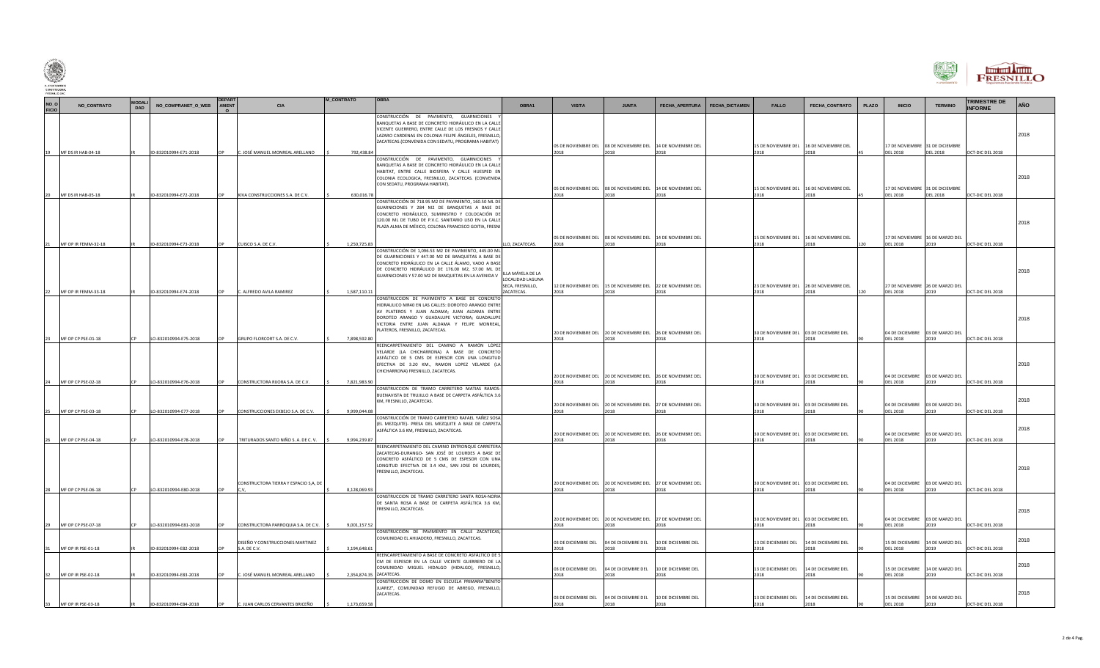

| $\begin{picture}(20,10) \put(0,0){\line(1,0){155}} \put(15,0){\line(1,0){155}} \put(15,0){\line(1,0){155}} \put(15,0){\line(1,0){155}} \put(15,0){\line(1,0){155}} \put(15,0){\line(1,0){155}} \put(15,0){\line(1,0){155}} \put(15,0){\line(1,0){155}} \put(15,0){\line(1,0){155}} \put(15,0){\line(1,0){155}} \put(15,0){\line(1,0){155}} \$ |                                                 |                      |                                                |       |                                                                         |                                         |                                                                                                                                                                                                                                                                                          |                                                        |                                     |                                                                                            |                                     |                                                                        |                                                 |       |                                                                                       |                                                 |                                      | FRESNILLO |
|-----------------------------------------------------------------------------------------------------------------------------------------------------------------------------------------------------------------------------------------------------------------------------------------------------------------------------------------------|-------------------------------------------------|----------------------|------------------------------------------------|-------|-------------------------------------------------------------------------|-----------------------------------------|------------------------------------------------------------------------------------------------------------------------------------------------------------------------------------------------------------------------------------------------------------------------------------------|--------------------------------------------------------|-------------------------------------|--------------------------------------------------------------------------------------------|-------------------------------------|------------------------------------------------------------------------|-------------------------------------------------|-------|---------------------------------------------------------------------------------------|-------------------------------------------------|--------------------------------------|-----------|
| NO_O<br>FICIO                                                                                                                                                                                                                                                                                                                                 | NO_CONTRATO                                     | <b>MODALI</b><br>DAD | NO_COMPRANET_O_WEB                             | AMENT | CIA                                                                     | <b>M CONTRATO</b>                       | <b>OBRA</b>                                                                                                                                                                                                                                                                              | OBRA1                                                  | <b>VISITA</b>                       | <b>JUNTA</b>                                                                               | FECHA_APERTURA<br>FECHA_DICTAMEN    | FALLO                                                                  | FECHA_CONTRATO                                  | PLAZO | <b>INICIO</b>                                                                         | <b>TERMINO</b>                                  | <b>TRIMESTRE DE</b><br><b>NFORME</b> | AÑO       |
|                                                                                                                                                                                                                                                                                                                                               | 19 MF DS IR HAB-04-18                           |                      | IO-832010994-E71-2018                          |       | C. JOSÉ MANUEL MONREAL ARELLANO                                         | 792,438.84                              | CONSTRUCCIÓN DE PAVIMENTO, GUARNICIONES<br>BANQUETAS A BASE DE CONCRETO HIDRÁULICO EN LA CALLI<br>VICENTE GUERRERO. ENTRE CALLE DE LOS FRESNOS Y CALLI<br>LAZARO CARDENAS EN COLONIA FELIPE ÁNGELES, FRESNILLO,<br>ZACATECAS.(CONVENIDA CON SEDATU, PROGRAMA HABITAT)                    |                                                        | 2018                                | 05 DE NOVIEMBRE DEL 08 DE NOVIEMBRE DEL 14 DE NOVIEMBRE DEL<br>2018                        | 2018                                | 15 DE NOVIEMBRE DEL 16 DE NOVIEMBRE DEL<br>2018                        | 2018                                            |       | 17 DE NOVIEMBRE 31 DE DICIEMBRE<br><b>DEL 2018</b>                                    | <b>DEL 2018</b>                                 | OCT-DIC DEL 2018                     | 2018      |
|                                                                                                                                                                                                                                                                                                                                               | 20 MF DS IR HAB-05-18                           |                      | IO-832010994-E72-2018                          | OP    | KIVA CONSTRUCCIONES S.A. DE C.V.                                        | 630,016.78                              | CONSTRUCCIÓN DE PAVIMENTO, GUARNICIONES<br>BANQUETAS A BASE DE CONCRETO HIDRÁULICO EN LA CALLE<br>HABITAT, ENTRE CALLE BIOSFERA Y CALLE HUESPED EN<br>COLONIA ECOLOGICA, FRESNILLO, ZACATECAS. (CONVENIDA<br>CON SEDATU, PROGRAMA HABITAT).                                              |                                                        | 2018                                | 05 DE NOVIEMBRE DEL 08 DE NOVIEMBRE DEL 14 DE NOVIEMBRE DEL<br>2018                        | 2018                                | 15 DE NOVIEMBRE DEL 16 DE NOVIEMBRE DEL<br>2018                        | 2018                                            |       | 17 DE NOVIEMBRE 31 DE DICIEMBRE<br><b>DEL 2018</b>                                    | <b>DEL 2018</b>                                 | OCT-DIC DEL 2018                     | 2018      |
|                                                                                                                                                                                                                                                                                                                                               |                                                 |                      |                                                |       |                                                                         |                                         | CONSTRUCCIÓN DE 718.95 M2 DE PAVIMENTO, 160.50 ML DE<br>GUARNICIONES Y 284 M2 DE BANQUETAS A BASE DE<br>CONCRETO HIDRÁULICO, SUMINISTRO Y COLOCACIÓN DE<br>120.00 ML DE TUBO DE P.V.C. SANITARIO LISO EN LA CALLE<br>PLAZA ALMA DE MÉXICO, COLONIA FRANCISCO GOITIA, FRESNI              |                                                        |                                     | 05 DE NOVIEMBRE DEL 08 DE NOVIEMBRE DEL 14 DE NOVIEMBRE DEL                                |                                     |                                                                        | 15 DE NOVIEMBRE DEL 16 DE NOVIEMBRE DEL         |       | 17 DE NOVIEMBRE 16 DE MARZO DEL                                                       |                                                 |                                      | 2018      |
|                                                                                                                                                                                                                                                                                                                                               | MF OP IR FEMM-32-18                             |                      | IO-832010994-E73-2018                          |       | CUISCO S.A. DE C.V.                                                     | 1,250,725.83                            | CONSTRUCCIÓN DE 1,096.53 M2 DE PAVIMENTO, 445.00 ML<br>DE GUARNICIONES Y 447.00 M2 DE BANQUETAS A BASE DE<br>CONCRETO HIDRÁULICO EN LA CALLE ÁLAMO, VADO A BASE<br>DE CONCRETO HIDRÁULICO DE 176.00 M2, 57.00 ML DE<br>GUARNICIONES Y 57.00 M2 DE BANQUETAS EN LA AVENIDA V              | LO, ZACATECAS.<br>LOCALIDAD LAGUNA<br>SECA, FRESNILLO, | 2018                                | 2018<br>12 DE NOVIEMBRE DEL 15 DE NOVIEMBRE DEL 22 DE NOVIEMBRE DEL                        | 2018                                | 2018                                                                   | 2018<br>23 DE NOVIEMBRE DEL 26 DE NOVIEMBRE DEL |       | <b>DEL 2018</b><br>27 DE NOVIEMBRE 26 DE MARZO DEL                                    | 2019                                            | OCT-DIC DEL 2018                     | 2018      |
|                                                                                                                                                                                                                                                                                                                                               | 22 MF OP IR FEMM-33-18<br>23 MF OP CP PSE-01-18 |                      | IO-832010994-E74-2018<br>LO-832010994-E75-2018 |       | C. ALFREDO AVILA RAMIREZ<br>GRUPO FLORCORT S.A. DE C.V.                 | 1,587,110.11<br>7.898.592.80            | CONSTRUCCION DE PAVIMENTO A BASE DE CONCRETO<br>HIDRAULICO MR40 EN LAS CALLES: DOROTEO ARANGO ENTRE<br>AV PLATEROS Y JUAN ALDAMA; JUAN ALDAMA ENTRI<br>DOROTEO ARANGO Y GUADALUPE VICTORIA; GUADALUPE<br>VICTORIA ENTRE JUAN ALDAMA Y FELIPE MONREAL,<br>PLATEROS, FRESNILLO, ZACATECAS. | ZACATECAS.                                             | 2018<br>2018                        | 2018<br>20 DE NOVIEMBRE DEL 20 DE NOVIEMBRE DEL 26 DE NOVIEMBRE DEL<br>2018                | 2018<br>2018                        | 2018<br>30 DE NOVIEMBRE DEL 03 DE DICIEMBRE DEL<br>2018                | 2018<br>2018                                    | 120   | <b>DEL 2018</b><br><b>DEL 2018</b>                                                    | 2019<br>04 DE DICIEMBRE 03 DE MARZO DEL<br>2019 | OCT-DIC DEL 2018<br>OCT-DIC DEL 2018 | 2018      |
|                                                                                                                                                                                                                                                                                                                                               |                                                 |                      |                                                |       |                                                                         |                                         | REENCARPETAMIENTO DEL CAMINO A RAMÓN LÓPEZ<br>VELARDE (LA CHICHARRONA) A BASE DE CONCRETO<br>ASFÁLTICO DE 5 CMS DE ESPESOR CON UNA LONGITUD<br>EFECTIVA DE 3.20 KM., RAMON LOPEZ VELARDE (LA<br>CHICHARRONA) FRESNILLO, ZACATECAS.                                                       |                                                        |                                     | 20 DE NOVIEMBRE DEL 20 DE NOVIEMBRE DEL 26 DE NOVIEMBRE DEL                                |                                     | 30 DE NOVIEMBRE DEL 03 DE DICIEMBRE DEL                                |                                                 |       |                                                                                       | 04 DE DICIEMBRE 03 DE MARZO DEL                 |                                      | 2018      |
|                                                                                                                                                                                                                                                                                                                                               | 24 MF OP CP PSE-02-18<br>25 MF OP CP PSE-03-18  |                      | LO-832010994-E76-2018<br>LO-832010994-E77-2018 |       | CONSTRUCTORA RIJORA S.A. DE C.V.<br>CONSTRUCCIONES EKBEJO S.A. DE C.V.  | 7.821.983.90<br>9.999.044.08            | CONSTRUCCION DE TRAMO CARRETERO MATIAS RAMOS<br>BUENAVISTA DE TRUJILLO A BASE DE CARPETA ASFÁLTICA 3.6<br>KM, FRESNILLO, ZACATECAS.                                                                                                                                                      |                                                        | 2018<br>2018                        | 2018<br>20 DE NOVIEMBRE DEL 20 DE NOVIEMBRE DEL 27 DE NOVIEMBRE DEL<br>2018                | 2018<br>2018                        | 2018<br>30 DE NOVIEMBRE DEL 03 DE DICIEMBRE DEL<br>2018                | 2018<br>2018                                    |       | <b>DEL 2018</b><br>04 DE DICIEMBRE 03 DE MARZO DEL<br><b>DEL 2018</b>                 | 2019<br>2019                                    | OCT-DIC DEL 2018<br>OCT-DIC DEL 2018 | 2018      |
|                                                                                                                                                                                                                                                                                                                                               | MF OP CP PSE-04-18                              |                      | LO-832010994-E78-2018                          |       | TRITURADOS SANTO NIÑO S. A. DE C. V.                                    | 9,994,239.87                            | CONSTRUCCIÓN DE TRAMO CARRETERO RAFAEL YAÑEZ SOSA<br>(EL MEZQUITE)- PRESA DEL MEZQUITE A BASE DE CARPETA<br>ASFÁLTICA 3.6 KM, FRESNILLO, ZACATECAS.                                                                                                                                      |                                                        | 2018                                | 20 DE NOVIEMBRE DEL 20 DE NOVIEMBRE DEL 26 DE NOVIEMBRE DEL<br>2018                        | 2018                                | 30 DE NOVIEMBRE DEL 03 DE DICIEMBRE DEL<br>2018                        | 2018                                            |       | 04 DE DICIEMBRE 03 DE MARZO DEL<br><b>DEL 2018</b>                                    | 2019                                            | OCT-DIC DEL 2018                     | 2018      |
|                                                                                                                                                                                                                                                                                                                                               |                                                 |                      |                                                |       | CONSTRUCTORA TIERRA Y ESPACIO S,A, DE                                   |                                         | REENCARPETAMIENTO DEL CAMINO ENTRONQUE CARRETERA<br>ZACATECAS-DURANGO- SAN JOSÉ DE LOURDES A BASE DE<br>CONCRETO ASFÁLTICO DE 5 CMS DE ESPESOR CON UNA<br>LONGITUD EFECTIVA DE 3.4 KM., SAN JOSE DE LOURDES,<br>FRESNILLO, ZACATECAS.                                                    |                                                        |                                     | 20 DE NOVIEMBRE DEL 20 DE NOVIEMBRE DEL 27 DE NOVIEMBRE DEL                                |                                     | 30 DE NOVIEMBRE DEL 03 DE DICIEMBRE DEL                                |                                                 |       | 04 DE DICIEMBRE 03 DE MARZO DEL                                                       |                                                 |                                      | 2018      |
|                                                                                                                                                                                                                                                                                                                                               | 28 MF OP CP PSE-06-18                           |                      | LO-832010994-E80-2018                          |       |                                                                         | 8,128,069.93                            | CONSTRUCCION DE TRAMO CARRETERO SANTA ROSA-NORIA<br>DE SANTA ROSA A BASE DE CARPETA ASFÁLTICA 3.6 KM,<br>FRESNILLO, ZACATECAS.                                                                                                                                                           |                                                        | 2018                                | 2018                                                                                       | 2018                                | 2018                                                                   | 2018                                            |       | <b>DEL 2018</b>                                                                       | 2019                                            | OCT-DIC DEL 2018                     | 2018      |
|                                                                                                                                                                                                                                                                                                                                               | MF OP CP PSE-07-18                              |                      | LO-832010994-E81-2018                          |       | CONSTRUCTORA PARROQUIA S.A. DE C.V.<br>DISEÑO Y CONSTRUCCIONES MARTINEZ | 9,001,157.52                            | CONSTRUCCIÓN DE PAVIMENTO EN CALLE ZACATECAS,<br>COMUNIDAD EL AHIJADERO, FRESNILLO, ZACATECAS.                                                                                                                                                                                           |                                                        | 2018<br>03 DE DICIEMBRE DEL         | 20 DE NOVIEMBRE DEL 20 DE NOVIEMBRE DEL 27 DE NOVIEMBRE DEL<br>2018<br>04 DE DICIEMBRE DEL | 10 DE DICIEMBRE DEL                 | 30 DE NOVIEMBRE DEL 03 DE DICIEMBRE DEL<br>2018<br>13 DE DICIEMBRE DEL | 14 DE DICIEMBRE DEL                             |       | 04 DE DICIEMBRE 03 DE MARZO DEL<br><b>DEL 2018</b><br>15 DE DICIEMBRE 14 DE MARZO DEL | 2019                                            | OCT-DIC DEL 2018                     | 2018      |
|                                                                                                                                                                                                                                                                                                                                               | 31 MF OP IR PSE-01-18<br>32 MF OP IR PSE-02-18  |                      | IO-832010994-E82-2018<br>IO-832010994-E83-2018 |       | S.A. DE C.V.<br>C. JOSÉ MANUEL MONREAL ARELLANO                         | 3,194,648.61<br>2,354,874.35 ZACATECAS. | REENCARPETAMIENTO A BASE DE CONCRETO ASFÁLTICO DE 5<br>CM DE ESPESOR EN LA CALLE VICENTE GUERRERO DE LA<br>COMUNIDAD MIGUEL HIDALGO (HIDALGO), FRESNILLO,                                                                                                                                |                                                        | 2018<br>03 DE DICIEMBRE DEL<br>2018 | 2018<br>04 DE DICIEMBRE DEL<br>2018                                                        | 2018<br>10 DE DICIEMBRE DEL<br>2018 | 2018<br>13 DE DICIEMBRE DEL<br>2018                                    | 2018<br>14 DE DICIEMBRE DEL<br>2018             |       | <b>DEL 2018</b><br>15 DE DICIEMBRE 14 DE MARZO DEL<br><b>DEL 2018</b>                 | 2019<br>2019                                    | OCT-DIC DEL 2018<br>OCT-DIC DEL 2018 | 2018      |
|                                                                                                                                                                                                                                                                                                                                               | 33 MF OP IR PSE-03-18                           |                      | IO-832010994-E84-2018                          | OP    | C. JUAN CARLOS CERVANTES BRICEÑO                                        | 1,173,659.58                            | CONSTRUCCIÓN DE DOMO EN ESCUELA PRIMARIA"BENITO<br>JUAREZ", COMUNIDAD REFUGIO DE ABREGO, FRESNILLO,<br>ZACATECAS.                                                                                                                                                                        |                                                        | 2018                                | 03 DE DICIEMBRE DEL 04 DE DICIEMBRE DEL 10 DE DICIEMBRE DEL<br>2018                        | 2018                                | 13 DE DICIEMBRE DEL<br>2018                                            | 14 DE DICIEMBRE DEL<br>2018                     |       | <b>DEL 2018</b>                                                                       | 15 DE DICIEMBRE 14 DE MARZO DEL<br>2019         | OCT-DIC DEL 2018                     | 2018      |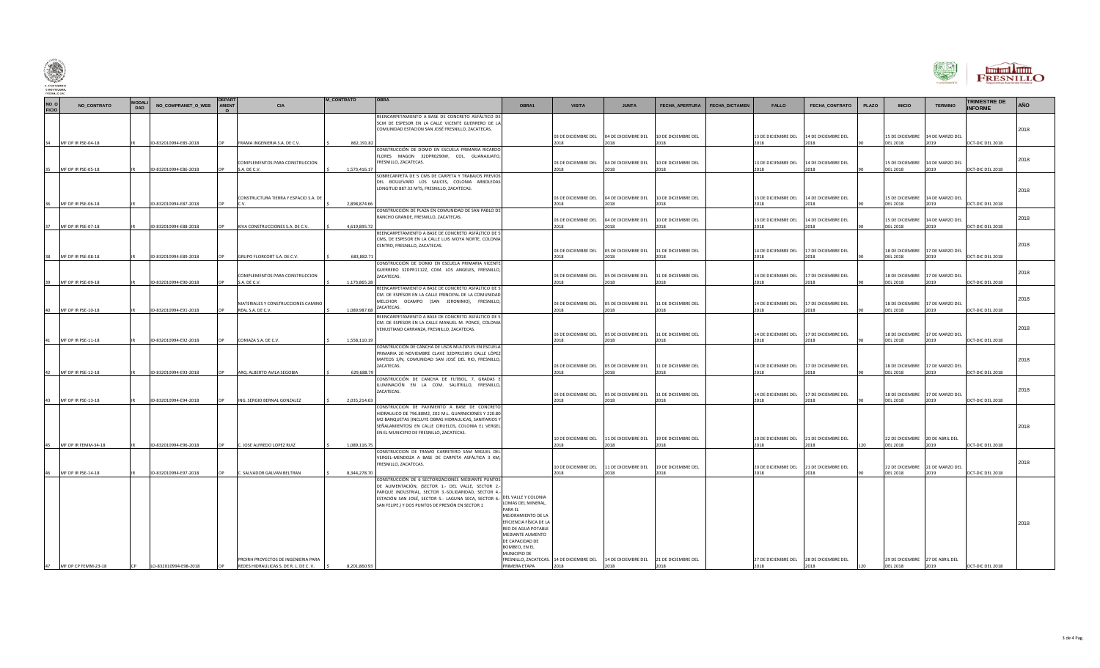

| NO_O<br>FICIO | NO_CONTRATO                                 | <b>MODALI</b><br><b>DAD</b> | NO_COMPRANET_O_WEB                             | AMENT    | <b>CIA</b>                                                                    | <b>M_CONTRATO</b>            | <b>OBRA</b>                                                                                                                                                                                                                                                                                           | OBRA1                                                                                                                                                                                          | <b>VISITA</b>                       | <b>JUNTA</b>                        | FECHA_APERTURA                                                                            | FECHA_DICTAMEN | <b>FALLO</b>                                    | FECHA_CONTRATO                      | PLAZO | <b>INICIO</b>                                      | <b>TERMINO</b>                                  | <b>TRIMESTRE DE</b><br><b>INFORME</b> | AÑO  |
|---------------|---------------------------------------------|-----------------------------|------------------------------------------------|----------|-------------------------------------------------------------------------------|------------------------------|-------------------------------------------------------------------------------------------------------------------------------------------------------------------------------------------------------------------------------------------------------------------------------------------------------|------------------------------------------------------------------------------------------------------------------------------------------------------------------------------------------------|-------------------------------------|-------------------------------------|-------------------------------------------------------------------------------------------|----------------|-------------------------------------------------|-------------------------------------|-------|----------------------------------------------------|-------------------------------------------------|---------------------------------------|------|
|               | MF OP IR PSE-04-18                          |                             | IO-832010994-E85-2018                          |          | FRAMA INGENIERIA S.A. DE C.V.                                                 | 862,191.82                   | REENCARPETAMIENTO A BASE DE CONCRETO ASFÁLTICO DE<br>5CM DE ESPESOR EN LA CALLE VICENTE GUERRERO DE LA<br>COMUNIDAD ESTACION SAN JOSÉ FRESNILLO, ZACATECAS.                                                                                                                                           |                                                                                                                                                                                                | 03 DE DICIEMBRE DEL<br>2018         | 018                                 | 04 DE DICIEMBRE DEL 10 DE DICIEMBRE DEL                                                   |                | 13 DE DICIEMBRE DEL 14 DE DICIEMBRE DEL<br>2018 | 2018                                |       | <b>DEL 2018</b>                                    | 15 DE DICIEMBRE 14 DE MARZO DEL<br>2019         | OCT-DIC DEL 2018                      | 2018 |
|               | MF OP IR PSE-05-18                          |                             | IO-832010994-E86-2018                          |          | COMPLEMENTOS PARA CONSTRUCCION<br>S.A. DE C.V.                                | 1,573,416.17                 | CONSTRUCCIÓN DE DOMO EN ESCUELA PRIMARIA RICARDO<br>FLORES MAGON 32DPR0290W, COL. GUANAJUATO,<br>FRESNILLO, ZACATECAS.                                                                                                                                                                                |                                                                                                                                                                                                | 03 DE DICIEMBRE DEL<br>2018         | 2018                                | 04 DE DICIEMBRE DEL 10 DE DICIEMBRE DEL<br>2018                                           |                | 13 DE DICIEMBRE DEL 14 DE DICIEMBRE DEL<br>2018 | 2018                                |       | <b>DEL 2018</b>                                    | 15 DE DICIEMBRE 14 DE MARZO DEL<br>2019         | OCT-DIC DEL 2018                      | 2018 |
|               |                                             |                             |                                                |          | CONSTRUCTURA TIERRA Y ESPACIO S.A. DE                                         |                              | SOBRECARPETA DE 5 CMS DE CARPETA Y TRABAJOS PREVIOS<br>DEL BOULEVARD LOS SAUCES, COLONIA ARBOLEDAS<br>LONGITUD 887.32 MTS, FRESNILLO, ZACATECAS.                                                                                                                                                      |                                                                                                                                                                                                | 03 DE DICIEMBRE DEL                 |                                     | 04 DE DICIEMBRE DEL 10 DE DICIEMBRE DEL                                                   |                | 13 DE DICIEMBRE DEL 14 DE DICIEMBRE DEL         |                                     |       |                                                    | 15 DE DICIEMBRE 14 DE MARZO DEL                 |                                       | 2018 |
|               | MF OP IR PSE-06-18<br>37 MF OP IR PSE-07-18 |                             | IO-832010994-E87-2018<br>IO-832010994-E88-2018 |          | CV<br>KIVA CONSTRUCCIONES S.A. DE C.V.                                        | 2,898,874.66<br>4,619,895.72 | CONSTRUCCIÓN DE PLAZA EN COMUNIDAD DE SAN PABLO DE<br>RANCHO GRANDE, FRESNILLO, ZACATECAS.                                                                                                                                                                                                            |                                                                                                                                                                                                | 2018<br>03 DE DICIEMBRE DEL<br>2018 | 2018<br>04 DE DICIEMBRE DEL<br>2018 | 2018<br>10 DE DICIEMBRE DEL<br>2018                                                       |                | 2018<br>13 DE DICIEMBRE DEL<br>2018             | 2018<br>14 DE DICIEMBRE DEL<br>2018 |       | <b>DEL 2018</b><br><b>DEL 2018</b>                 | 2019<br>15 DE DICIEMBRE 14 DE MARZO DEL<br>2019 | OCT-DIC DEL 2018<br>OCT-DIC DEL 2018  | 2018 |
|               | 38 MF OP IR PSE-08-18                       |                             | IO-832010994-E89-2018                          |          | GRUPO FLORCORT S.A. DE C.V.                                                   | 683,882.71                   | REENCARPETAMIENTO A BASE DE CONCRETO ASFÁLTICO DE 5<br>CMS, DE ESPESOR EN LA CALLE LUIS MOYA NORTE, COLONIA<br>CENTRO, FRESNILLO, ZACATECAS.                                                                                                                                                          |                                                                                                                                                                                                | 03 DE DICIEMBRE DEL<br>2018         | 05 DE DICIEMBRE DEL<br>2018         | 11 DE DICIEMBRE DEL<br>2018                                                               |                | 14 DE DICIEMBRE DEL<br>2018                     | 17 DE DICIEMBRE DEL<br>2018         |       | <b>DEL 2018</b>                                    | 18 DE DICIEMBRE 17 DE MARZO DEL<br>2019         | OCT-DIC DEL 2018                      | 2018 |
| 39            | MF OP IR PSE-09-18                          |                             | IO-832010994-E90-2018                          |          | COMPLEMENTOS PARA CONSTRUCCION<br>S.A. DE C.V.                                | 1,173,865.28                 | CONSTRUCCIÓN DE DOMO EN ESCUELA PRIMARIA VICENTE<br>GUERRERO 32DPR1112Z, COM. LOS ANGELES, FRESNILLO,<br>ZACATECAS.                                                                                                                                                                                   |                                                                                                                                                                                                | 03 DE DICIEMBRE DEL<br>2018         | 05 DE DICIEMBRE DEL<br>2018         | 11 DE DICIEMBRE DEL<br>2018                                                               |                | 14 DE DICIEMBRE DEL<br>2018                     | 17 DE DICIEMBRE DEL<br>2018         |       | <b>DEL 2018</b>                                    | 18 DE DICIEMBRE 17 DE MARZO DEL<br>2019         | OCT-DIC DEL 2018                      | 2018 |
|               | 40 MF OP IR PSE-10-18                       |                             | IO-832010994-E91-2018                          |          | MATERIALES Y CONSTRUCCIONES CAMINO<br>REAL S.A. DE C.V.                       |                              | REENCARPETAMIENTO A BASE DE CONCRETO ASFÁLTICO DE 5<br>CM. DE ESPESOR EN LA CALLE PRINCIPAL DE LA COMUNIDAD<br>MELCHOR OCAMPO (SAN JERONIMO), FRESNILLO,<br>1,089,987.68 ZACATECAS.                                                                                                                   |                                                                                                                                                                                                | 03 DE DICIEMBRE DEL<br>2018         | 2018                                | 05 DE DICIEMBRE DEL 11 DE DICIEMBRE DEL<br>2018                                           |                | 14 DE DICIEMBRE DEL 17 DE DICIEMBRE DEL<br>2018 | 2018                                |       | <b>DEL 2018</b>                                    | 18 DE DICIEMBRE 17 DE MARZO DEL<br>2019         | OCT-DIC DEL 2018                      | 2018 |
| 41            | MF OP IR PSE-11-18                          |                             | IO-832010994-E92-2018                          |          | COMAZA S.A. DE C.V.                                                           | 1,558,110.19                 | REENCARPETAMIENTO A BASE DE CONCRETO ASFÁLTICO DE 5<br>CM. DE ESPESOR EN LA CALLE MANUEL M. PONCE, COLONIA<br>VENUSTIANO CARRANZA, FRESNILLO, ZACATECAS.                                                                                                                                              |                                                                                                                                                                                                | 03 DE DICIEMBRE DEL<br>2018         | 2018                                | 05 DE DICIEMBRE DEL 11 DE DICIEMBRE DEL<br>2018                                           |                | 14 DE DICIEMBRE DEL 17 DE DICIEMBRE DEL<br>2018 | 2018                                |       | <b>DEL 2018</b>                                    | 18 DE DICIEMBRE 17 DE MARZO DEL<br>2019         | OCT-DIC DEL 2018                      | 2018 |
|               |                                             |                             |                                                |          |                                                                               |                              | CONSTRUCCIÓN DE CANCHA DE USOS MÚLTIPLES EN ESCUELA<br>PRIMARIA 20 NOVIEMBRE CLAVE 32DPR15091 CALLE LÓPEZ<br>MATEOS S/N, COMUNIDAD SAN JOSÉ DEL RIO, FRESNILLO,<br>ZACATECAS.                                                                                                                         |                                                                                                                                                                                                | 03 DE DICIEMBRE DEL                 |                                     | 05 DE DICIEMBRE DEL 11 DE DICIEMBRE DEL                                                   |                | 14 DE DICIEMBRE DEL 17 DE DICIEMBRE DEL         |                                     |       |                                                    | 18 DE DICIEMBRE 17 DE MARZO DEL                 |                                       | 2018 |
|               | 42 MF OP IR PSE-12-18                       |                             | IO-832010994-E93-2018                          | $\cap P$ | ARQ. ALBERTO AVILA SEGOBIA                                                    | 629,688.79                   | CONSTRUCCIÓN DE CANCHA DE FUTBOL. 7. GRADAS<br>ILUMINACIÓN EN LA COM. SALITRILLO, FRESNILLO,<br>ZACATECAS.                                                                                                                                                                                            |                                                                                                                                                                                                | 2018<br>03 DE DICIEMBRE DEL         | 2018                                | 2018<br>05 DE DICIEMBRE DEL 11 DE DICIEMBRE DEL                                           |                | 2018<br>14 DE DICIEMBRE DEL 17 DE DICIEMBRE DEL | 2018                                |       | <b>DEL 2018</b>                                    | 2019<br>18 DE DICIEMBRE 17 DE MARZO DEL         | OCT-DIC DEL 2018                      | 2018 |
|               | 43 MF OP IR PSE-13-18                       |                             | IO-832010994-E94-2018                          |          | ING. SERGIO BERNAL GONZALEZ                                                   | 2,035,214.63                 | CONSTRUCCION DE PAVIMENTO A BASE DE CONCRETO<br>HIDRAULICO DE 796.80M2, 202 M.L. GUARNICIONES Y 220.80<br>M2 BANQUETAS (INCLUYE OBRAS HIDRAULICAS, SANITARIOS Y<br>SEÑALAMIENTOS) EN CALLE CIRUELOS, COLONIA EL VERGEL<br>EN EL MUNICIPIO DE FRESNILLO, ZACATECAS.                                    |                                                                                                                                                                                                | 2018                                | 018                                 | 2018                                                                                      |                | 2018                                            | 2018                                |       | <b>DEL 2018</b>                                    | 2019                                            | OCT-DIC DEL 2018                      | 2018 |
|               | MF OP IR FEMM-34-18                         |                             | IO-832010994-E96-2018                          |          | C. JOSE ALFREDO LOPEZ RUIZ                                                    | 1,089,116.75                 |                                                                                                                                                                                                                                                                                                       |                                                                                                                                                                                                | 10 DE DICIEMBRE DEL<br>2018         | 018                                 | 11 DE DICIEMBRE DEL 19 DE DICIEMBRE DEL<br>2018                                           |                | 20 DE DICIEMBRE DEL 21 DE DICIEMBRE DEL<br>2018 | 2018                                |       | <b>DEL 2018</b>                                    | 22 DE DICIEMBRE 20 DE ABRIL DEL<br>2019         | OCT-DIC DEL 2018                      |      |
|               | MF OP IR PSE-14-18                          |                             | IO-832010994-E97-2018                          |          | C. SALVADOR GALVAN BELTRAN                                                    | 8,344,278.70                 | CONSTRUCCION DE TRAMO CARRETERO SAM MIGUEL DEL<br>VERGEL-MENDOZA A BASE DE CARPETA ASFÁLTICA 3 KM,<br>FRESNILLO, ZACATECAS.                                                                                                                                                                           |                                                                                                                                                                                                | 10 DE DICIEMBRE DEL<br>2018         | 11 DE DICIEMBRE DEL<br>2018         | 19 DE DICIEMBRE DEL<br>2018                                                               |                | 20 DE DICIEMBRE DEL<br>2018                     | 21 DE DICIEMBRE DEL<br>2018         |       | <b>DEL 2018</b>                                    | 22 DE DICIEMBRE 21 DE MARZO DEL<br>2019         | OCT-DIC DEL 2018                      | 2018 |
|               | 47 MF OP CP FEMM-23-18                      | <b>CP</b>                   | LO-832010994-E98-2018                          | OP       | PROIRH PROYECTOS DE INGENIERIA PARA<br>REDES HIDRAULICAS S. DE R. L. DE C. V. | 8.201.860.93                 | CONSTRUCCIÓN DE 6 SECTORIZACIONES MEDIANTE PUNTOS<br>DE ALIMENTACIÓN, (SECTOR 1 .- DEL VALLE, SECTOR 2 .-<br>PARQUE INDUSTRIAL, SECTOR 3 .- SOLIDARIDAD, SECTOR 4 .-<br>ESTACIÓN SAN JOSÉ, SECTOR 5.- LAGUNA SECA, SECTOR 6.- DEL VALLE Y COLONIA<br>SAN FELIPE.) Y DOS PUNTOS DE PRESIÓN EN SECTOR 1 | LOMAS DEL MINERAL,<br>PARA FI<br>MEJORAMIENTO DE LA<br>EFICIENCIA FÍSICA DE LA<br>RED DE AGUA POTABLE<br>MEDIANTE AUMENTO<br>DE CAPACIDAD DE<br>BOMBEO, EN EL<br>MUNICIPIO DE<br>PRIMERA ETAPA | 2018                                | 2018                                | FRESNILLO, ZACATECAS. 14 DE DICIEMBRE DEL 14 DE DICIEMBRE DEL 21 DE DICIEMBRE DEL<br>2018 |                | 27 DE DICIEMBRE DEL 28 DE DICIEMBRE DEL<br>2018 | 2018                                | 120   | 29 DE DICIEMBRE 27 DE ABRIL DEL<br><b>DEL 2018</b> | 2019                                            | OCT-DIC DEL 2018                      | 2018 |